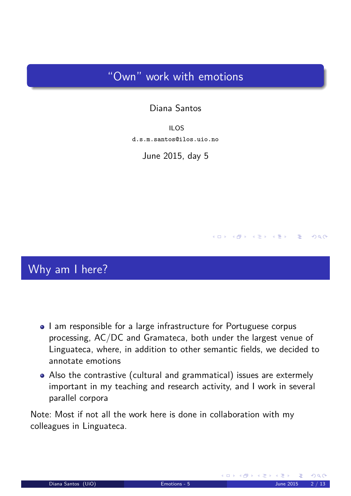# "Own" work with emotions

#### Diana Santos

ILOS d.s.m.santos@ilos.uio.no

June 2015, day 5

## Why am I here?

- I am responsible for a large infrastructure for Portuguese corpus processing, AC/DC and Gramateca, both under the largest venue of Linguateca, where, in addition to other semantic fields, we decided to annotate emotions
- Also the contrastive (cultural and grammatical) issues are extermely important in my teaching and research activity, and I work in several parallel corpora

<span id="page-0-0"></span>Note: Most if not all the work here is done in collaboration with my colleagues in Linguateca.

 $RQ$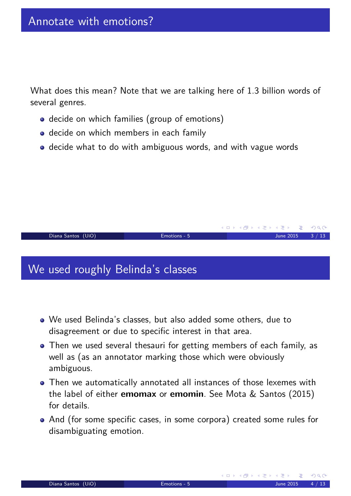What does this mean? Note that we are talking here of 1.3 billion words of several genres.

- decide on which families (group of emotions)
- **o** decide on which members in each family
- decide what to do with ambiguous words, and with vague words

#### We used roughly Belinda's classes

- We used Belinda's classes, but also added some others, due to disagreement or due to specific interest in that area.
- Then we used several thesauri for getting members of each family, as well as (as an annotator marking those which were obviously ambiguous.

Diana Santos (UiO) Emotions - 5 June 2015 3 / 13

- Then we automatically annotated all instances of those lexemes with the label of either **emomax** or **emomin**. See Mota & Santos (2015) for details.
- <span id="page-1-0"></span>And (for some specific cases, in some corpora) created some rules for disambiguating emotion.

K ロ ▶ K @ ▶ K 할 ▶ K 할 ▶ .. 할

 $OQ$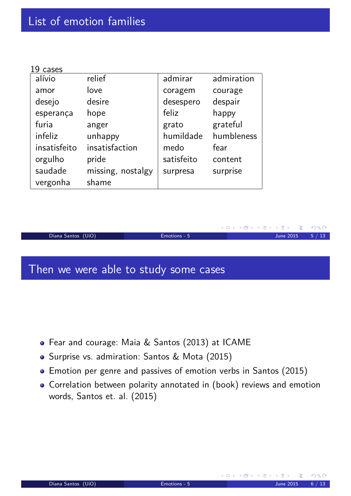| 19<br>cases  |                   |            |            |
|--------------|-------------------|------------|------------|
| alívio       | relief            | admirar    | admiration |
| amor         | love              | coragem    | courage    |
| desejo       | desire            | desespero  | despair    |
| esperança    | hope              | feliz      | happy      |
| furia        | anger             | grato      | grateful   |
| infeliz      | unhappy           | humildade  | humbleness |
| insatisfeito | insatisfaction    | medo       | fear       |
| orgulho      | pride             | satisfeito | content    |
| saudade      | missing, nostalgy | surpresa   | surprise   |
| vergonha     | shame             |            |            |

|                    |              | - ◀ㅁ▶ ◀@ ▶ ◀ 草 ▶ ◀ 草 ▶ - 草 - ⊙ ٩,ભ - |  |
|--------------------|--------------|--------------------------------------|--|
| Diana Santos (UiO) | Emotions - 5 | June 2015 $5 / 13$                   |  |
|                    |              |                                      |  |
|                    |              |                                      |  |

# Then we were able to study some cases

- Fear and courage: Maia & Santos (2013) at ICAME
- Surprise vs. admiration: Santos & Mota (2015)
- Emotion per genre and passives of emotion verbs in Santos (2015)
- <span id="page-2-0"></span>Correlation between polarity annotated in (book) reviews and emotion words, Santos et. al. (2015)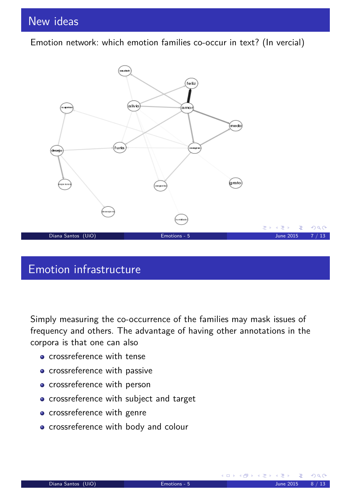Emotion network: which emotion families co-occur in text? (In vercial)



## Emotion infrastructure

Simply measuring the co-occurrence of the families may mask issues of frequency and others. The advantage of having other annotations in the corpora is that one can also

- crossreference with tense
- crossreference with passive
- crossreference with person
- **•** crossreference with subject and target
- **o** crossreference with genre
- <span id="page-3-0"></span>• crossreference with body and colour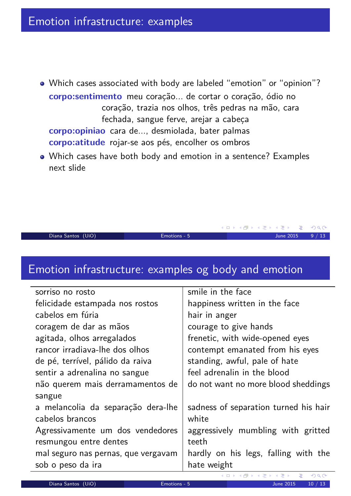- Which cases associated with body are labeled "emotion" or "opinion"? **corpo:sentimento** meu coração... de cortar o coração, ódio no coração, trazia nos olhos, três pedras na mão, cara fechada, sangue ferve, arejar a cabeça **corpo:opiniao** cara de..., desmiolada, bater palmas **corpo:atitude** rojar-se aos pés, encolher os ombros
- Which cases have both body and emotion in a sentence? Examples next slide

Diana Santos (UiO) Emotions - 5 June 2015 9 / 13

**K ロ ▶ K 御 ▶ K 君 ▶ K 君 ▶** 

 $DQ$ 

#### Emotion infrastructure: examples og body and emotion

| sorriso no rosto                    | smile in the face                     |
|-------------------------------------|---------------------------------------|
| felicidade estampada nos rostos     | happiness written in the face         |
| cabelos em fúria                    | hair in anger                         |
| coragem de dar as mãos              | courage to give hands                 |
| agitada, olhos arregalados          | frenetic, with wide-opened eyes       |
| rancor irradiava-lhe dos olhos      | contempt emanated from his eyes       |
| de pé, terrível, pálido da raiva    | standing, awful, pale of hate         |
| sentir a adrenalina no sangue       | feel adrenalin in the blood           |
| não querem mais derramamentos de    | do not want no more blood sheddings   |
| sangue                              |                                       |
| a melancolia da separação dera-lhe  | sadness of separation turned his hair |
| cabelos brancos                     | white                                 |
| Agressivamente um dos vendedores    | aggressively mumbling with gritted    |
| resmungou entre dentes              | teeth                                 |
| mal seguro nas pernas, que vergavam | hardly on his legs, falling with the  |
| sob o peso da ira                   | hate weight                           |
|                                     |                                       |

<span id="page-4-0"></span>Diana Santos (UiO) [Em](#page-0-0)[oti](#page-6-0)[ons](#page-0-0) [-](#page-6-0) [5](#page-0-0) June 2015 10 / 13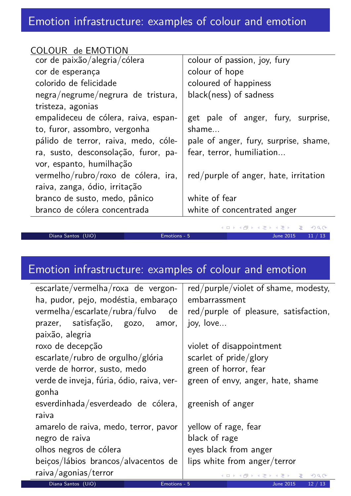| COLOUR de EMOTION                    |                                       |
|--------------------------------------|---------------------------------------|
| cor de paixão/alegria/cólera         | colour of passion, joy, fury          |
| cor de esperança                     | colour of hope                        |
| colorido de felicidade               | coloured of happiness                 |
| negra/negrume/negrura de tristura,   | $black(ness)$ of sadness              |
| tristeza, agonias                    |                                       |
| empalideceu de cólera, raiva, espan- | get pale of anger, fury, surprise,    |
| to, furor, assombro, vergonha        | shame                                 |
| pálido de terror, raiva, medo, cóle- | pale of anger, fury, surprise, shame, |
| ra, susto, desconsolação, furor, pa- | fear, terror, humiliation             |
| vor, espanto, humilhação             |                                       |
| vermelho/rubro/roxo de cólera, ira,  | red/purple of anger, hate, irritation |
| raiva, zanga, ódio, irritação        |                                       |
| branco de susto, medo, pânico        | white of fear                         |
| branco de cólera concentrada         | white of concentrated anger           |
|                                      |                                       |

Diana Santos (UiO) Emotions - 5 June 2015 11 / 13

<span id="page-5-0"></span>

 $\leftarrow \Box \rightarrow$ 

◆ 母

Ė

 $\mathcal{P}(\mathcal{A}) \subset \mathcal{P}(\mathcal{A})$ 

# Emotion infrastructure: examples of colour and emotion

| escarlate/vermelha/roxa de vergon-        |              | red/purple/violet of shame, modesty,  |
|-------------------------------------------|--------------|---------------------------------------|
| ha, pudor, pejo, modéstia, embaraço       |              | embarrassment                         |
| vermelha/escarlate/rubra/fulvo<br>de      |              | red/purple of pleasure, satisfaction, |
| prazer, satisfação, gozo,                 | amor,        | joy, love                             |
| paixão, alegria                           |              |                                       |
| roxo de decepção                          |              | violet of disappointment              |
| escarlate/rubro de orgulho/glória         |              | scarlet of $pride/glory$              |
| verde de horror, susto, medo              |              | green of horror, fear                 |
| verde de inveja, fúria, ódio, raiva, ver- |              | green of envy, anger, hate, shame     |
| gonha                                     |              |                                       |
| esverdinhada/esverdeado de cólera,        |              | greenish of anger                     |
| raiva                                     |              |                                       |
| amarelo de raiva, medo, terror, pavor     |              | yellow of rage, fear                  |
| negro de raiva                            |              | black of rage                         |
| olhos negros de cólera                    |              | eyes black from anger                 |
| beiços/lábios brancos/alvacentos de       |              | lips white from anger/terror          |
| raiva/agonias/terror                      |              | ◀ㅁ▶ ◀@ ▶ ◀ 草 ▶ ◀ 롣 ▶ │ 롣│ ◆) ٩, ⊙     |
| Diana Santos (UiO)                        | Emotions - 5 | <b>June 2015</b><br>12/13             |